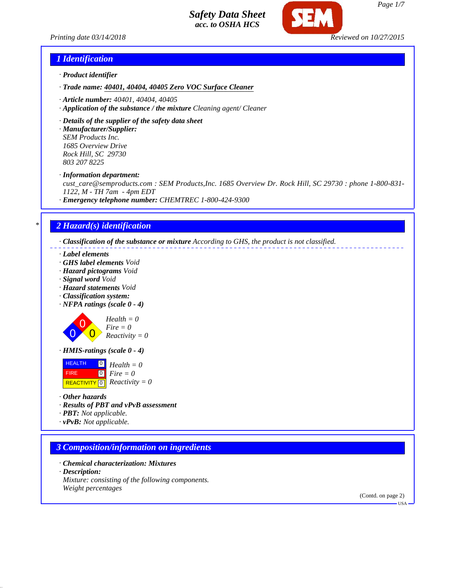



### *1 Identification*

- *· Product identifier*
- *· Trade name: 40401, 40404, 40405 Zero VOC Surface Cleaner*
- *· Article number: 40401, 40404, 40405*
- *· Application of the substance / the mixture Cleaning agent/ Cleaner*
- *· Details of the supplier of the safety data sheet*

*· Manufacturer/Supplier: SEM Products Inc. 1685 Overview Drive Rock Hill, SC 29730 803 207 8225*

*· Information department:*

*cust\_care@semproducts.com : SEM Products,Inc. 1685 Overview Dr. Rock Hill, SC 29730 : phone 1-800-831- 1122, M - TH 7am - 4pm EDT*

*· Emergency telephone number: CHEMTREC 1-800-424-9300*

### *\* 2 Hazard(s) identification*

*· Classification of the substance or mixture According to GHS, the product is not classified.*

- *· Label elements*
- *· GHS label elements Void*
- *· Hazard pictograms Void*
- *· Signal word Void*
- *· Hazard statements Void*
- *· Classification system:*
- *· NFPA ratings (scale 0 4)*

$$
Health = 0
$$
  
Fire = 0  
Reactivity = 0

 $\blacktriangle$ 

*· HMIS-ratings (scale 0 - 4)*

**HEALTH**  FIRE  $\overline{REACTIVITY[0]}$  *Reactivity* = 0 0 *Health = 0* 0 *Fire = 0*

- *· Other hazards*
- *· Results of PBT and vPvB assessment*
- *· PBT: Not applicable.*
- *· vPvB: Not applicable.*

### *3 Composition/information on ingredients*

*· Chemical characterization: Mixtures · Description: Mixture: consisting of the following components. Weight percentages*

> (Contd. on page 2) USA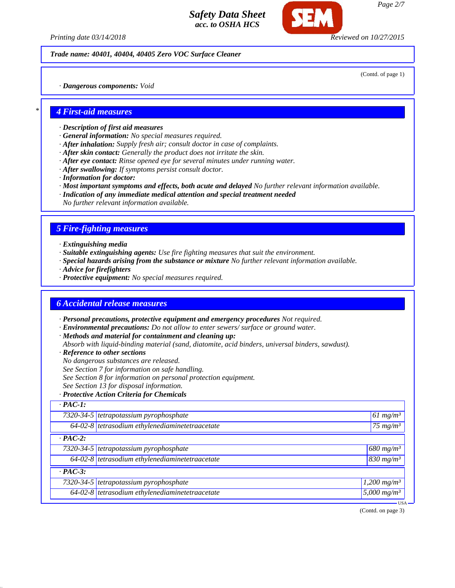*Printing date 03/14/2018 Reviewed on 10/27/2015*

#### *Trade name: 40401, 40404, 40405 Zero VOC Surface Cleaner*

(Contd. of page 1)

*· Dangerous components: Void*

#### *\* 4 First-aid measures*

- *· Description of first aid measures*
- *· General information: No special measures required.*
- *· After inhalation: Supply fresh air; consult doctor in case of complaints.*
- *· After skin contact: Generally the product does not irritate the skin.*
- *· After eye contact: Rinse opened eye for several minutes under running water.*
- *· After swallowing: If symptoms persist consult doctor.*
- *· Information for doctor:*
- *· Most important symptoms and effects, both acute and delayed No further relevant information available.*
- *· Indication of any immediate medical attention and special treatment needed*
- *No further relevant information available.*

# *5 Fire-fighting measures*

- *· Extinguishing media*
- *· Suitable extinguishing agents: Use fire fighting measures that suit the environment.*
- *· Special hazards arising from the substance or mixture No further relevant information available.*
- *· Advice for firefighters*
- *· Protective equipment: No special measures required.*

### *6 Accidental release measures*

*· Personal precautions, protective equipment and emergency procedures Not required.*

*· Environmental precautions: Do not allow to enter sewers/ surface or ground water.*

*· Methods and material for containment and cleaning up:*

- *Absorb with liquid-binding material (sand, diatomite, acid binders, universal binders, sawdust).*
- *· Reference to other sections*
- *No dangerous substances are released.*
- *See Section 7 for information on safe handling.*
- *See Section 8 for information on personal protection equipment.*
- *See Section 13 for disposal information.*

#### *· Protective Action Criteria for Chemicals*

| $\cdot$ PAC-1: |                                                              |                           |
|----------------|--------------------------------------------------------------|---------------------------|
|                | $7320-34-5$ tetrapotassium pyrophosphate                     | $61 \text{ mg/m}^3$       |
|                | $64-02-8$ tetrasodium ethylenediaminetetraacetate            | $175$ mg/m <sup>3</sup>   |
| $\cdot$ PAC-2: |                                                              |                           |
|                | 7320-34-5 tetrapotassium pyrophosphate                       | $680$ mg/m <sup>3</sup>   |
|                | $\overline{64-02-8}$ tetrasodium ethylenediaminetetraacetate | $830 \, mg/m^3$           |
| $\cdot$ PAC-3: |                                                              |                           |
|                | 7320-34-5 tetrapotassium pyrophosphate                       | $1,200$ mg/m <sup>3</sup> |
|                | 64-02-8 tetrasodium ethylenediaminetetraacetate              | $5,000$ mg/m <sup>3</sup> |
|                |                                                              | ·USA·                     |

(Contd. on page 3)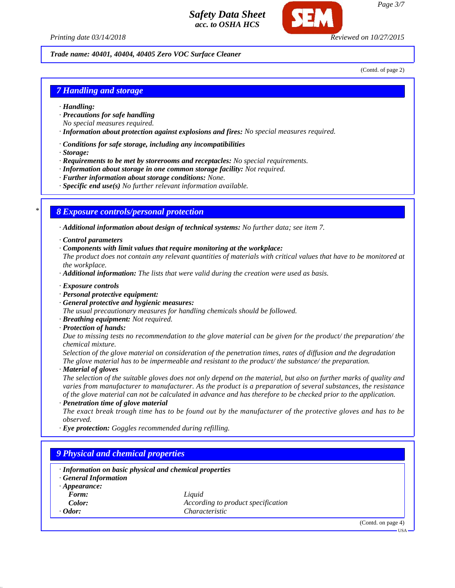

*Page 3/7*

*Printing date 03/14/2018 Reviewed on 10/27/2015*

#### *Trade name: 40401, 40404, 40405 Zero VOC Surface Cleaner*

(Contd. of page 2)

### *7 Handling and storage*

- *· Handling:*
- *· Precautions for safe handling*
- *No special measures required.*
- *· Information about protection against explosions and fires: No special measures required.*
- *· Conditions for safe storage, including any incompatibilities*
- *· Storage:*
- *· Requirements to be met by storerooms and receptacles: No special requirements.*
- *· Information about storage in one common storage facility: Not required.*
- *· Further information about storage conditions: None.*
- *· Specific end use(s) No further relevant information available.*

### *\* 8 Exposure controls/personal protection*

- *· Additional information about design of technical systems: No further data; see item 7.*
- *· Control parameters*
- *· Components with limit values that require monitoring at the workplace:*

*The product does not contain any relevant quantities of materials with critical values that have to be monitored at the workplace.*

- *· Additional information: The lists that were valid during the creation were used as basis.*
- *· Exposure controls*
- *· Personal protective equipment:*
- *· General protective and hygienic measures:*
- *The usual precautionary measures for handling chemicals should be followed.*
- *· Breathing equipment: Not required.*
- *· Protection of hands:*

*Due to missing tests no recommendation to the glove material can be given for the product/ the preparation/ the chemical mixture.*

*Selection of the glove material on consideration of the penetration times, rates of diffusion and the degradation The glove material has to be impermeable and resistant to the product/ the substance/ the preparation.*

*· Material of gloves*

*The selection of the suitable gloves does not only depend on the material, but also on further marks of quality and varies from manufacturer to manufacturer. As the product is a preparation of several substances, the resistance of the glove material can not be calculated in advance and has therefore to be checked prior to the application.*

*· Penetration time of glove material*

*The exact break trough time has to be found out by the manufacturer of the protective gloves and has to be observed.*

*· Eye protection: Goggles recommended during refilling.*

# *9 Physical and chemical properties*

| <b>General Information</b>   | · Information on basic physical and chemical properties |                    |
|------------------------------|---------------------------------------------------------|--------------------|
| $\cdot$ Appearance:<br>Form: | Liquid                                                  |                    |
| Color:                       | According to product specification                      |                    |
| $\cdot$ Odor:                | Characteristic                                          |                    |
|                              |                                                         | (Contd. on page 4) |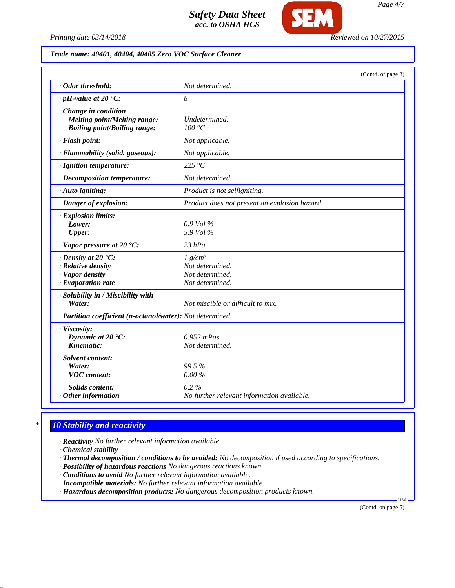

#### *Trade name: 40401, 40404, 40405 Zero VOC Surface Cleaner*

|                                                                                                       | (Contd. of page 3)                                                  |
|-------------------------------------------------------------------------------------------------------|---------------------------------------------------------------------|
| · Odor threshold:                                                                                     | Not determined.                                                     |
| $\cdot$ pH-value at 20 $\textdegree$ C:                                                               | 8                                                                   |
| Change in condition<br><b>Melting point/Melting range:</b><br><b>Boiling point/Boiling range:</b>     | Undetermined.<br>100 °C                                             |
| · Flash point:                                                                                        | Not applicable.                                                     |
| · Flammability (solid, gaseous):                                                                      | Not applicable.                                                     |
| · Ignition temperature:                                                                               | 225 $\degree$ C                                                     |
| · Decomposition temperature:                                                                          | Not determined.                                                     |
| · Auto igniting:                                                                                      | Product is not selfigniting.                                        |
| · Danger of explosion:                                                                                | Product does not present an explosion hazard.                       |
| · Explosion limits:<br>Lower:<br><b>Upper:</b>                                                        | $0.9$ Vol %<br>5.9 Vol %                                            |
| $\cdot$ Vapor pressure at 20 $\textdegree$ C:                                                         | $23$ hPa                                                            |
| $\cdot$ Density at 20 $\textdegree$ C:<br>· Relative density<br>· Vapor density<br>· Evaporation rate | $1 g/cm^3$<br>Not determined.<br>Not determined.<br>Not determined. |
| · Solubility in / Miscibility with<br>Water:                                                          | Not miscible or difficult to mix.                                   |
| · Partition coefficient (n-octanol/water): Not determined.                                            |                                                                     |
| · Viscosity:<br>Dynamic at 20 °C:<br>Kinematic:                                                       | $0.952$ mPas<br>Not determined.                                     |
| · Solvent content:<br>Water:<br><b>VOC</b> content:                                                   | 99.5%<br>$0.00\%$                                                   |
| <b>Solids content:</b><br>$·$ Other information                                                       | $0.2\%$<br>No further relevant information available.               |

# *\* 10 Stability and reactivity*

- *· Reactivity No further relevant information available.*
- *· Chemical stability*
- *· Thermal decomposition / conditions to be avoided: No decomposition if used according to specifications.*
- *· Possibility of hazardous reactions No dangerous reactions known.*
- *· Conditions to avoid No further relevant information available.*
- *· Incompatible materials: No further relevant information available.*
- *· Hazardous decomposition products: No dangerous decomposition products known.*

(Contd. on page 5)

USA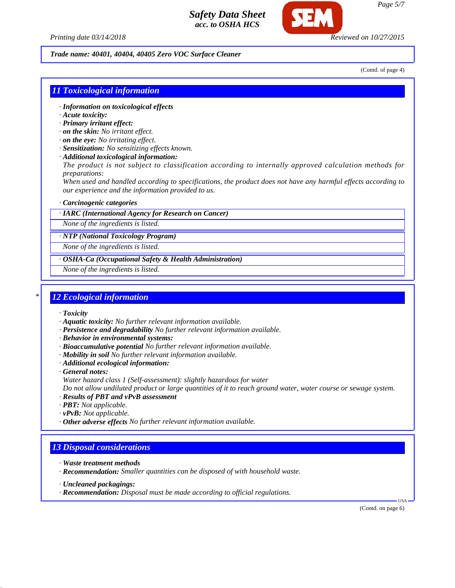

*Printing date 03/14/2018 Reviewed on 10/27/2015*

#### *Trade name: 40401, 40404, 40405 Zero VOC Surface Cleaner*

(Contd. of page 4)

### *11 Toxicological information*

- *· Information on toxicological effects*
- *· Acute toxicity:*
- *· Primary irritant effect:*
- *· on the skin: No irritant effect.*
- *· on the eye: No irritating effect.*
- *· Sensitization: No sensitizing effects known.*
- *· Additional toxicological information:*

*The product is not subject to classification according to internally approved calculation methods for preparations:*

*When used and handled according to specifications, the product does not have any harmful effects according to our experience and the information provided to us.*

#### *· Carcinogenic categories*

#### *· IARC (International Agency for Research on Cancer)*

*None of the ingredients is listed.*

*· NTP (National Toxicology Program)*

*None of the ingredients is listed.*

*· OSHA-Ca (Occupational Safety & Health Administration)*

*None of the ingredients is listed.*

#### *\* 12 Ecological information*

- *· Toxicity*
- *· Aquatic toxicity: No further relevant information available.*
- *· Persistence and degradability No further relevant information available.*
- *· Behavior in environmental systems:*
- *· Bioaccumulative potential No further relevant information available.*
- *· Mobility in soil No further relevant information available.*
- *· Additional ecological information:*

*· General notes: Water hazard class 1 (Self-assessment): slightly hazardous for water*

*Do not allow undiluted product or large quantities of it to reach ground water, water course or sewage system.*

- *· Results of PBT and vPvB assessment*
- *· PBT: Not applicable.*
- *· vPvB: Not applicable.*
- *· Other adverse effects No further relevant information available.*

### *13 Disposal considerations*

- *· Waste treatment methods*
- *· Recommendation: Smaller quantities can be disposed of with household waste.*
- *· Uncleaned packagings:*
- *· Recommendation: Disposal must be made according to official regulations.*

(Contd. on page 6)

USA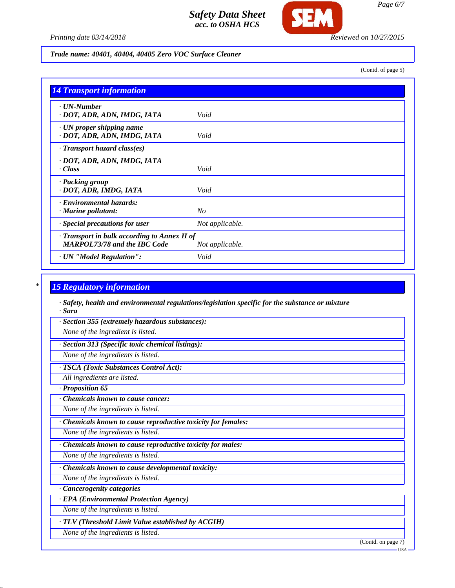

*Printing date 03/14/2018 Reviewed on 10/27/2015*

#### *Trade name: 40401, 40404, 40405 Zero VOC Surface Cleaner*

(Contd. of page 5)

| <b>14 Transport information</b>                                                     |                 |
|-------------------------------------------------------------------------------------|-----------------|
| $\cdot$ UN-Number<br>· DOT, ADR, ADN, IMDG, IATA                                    | Void            |
| $\cdot$ UN proper shipping name<br>· DOT, ADR, ADN, IMDG, IATA                      | Void            |
| $\cdot$ Transport hazard class(es)                                                  |                 |
| · DOT, ADR, ADN, IMDG, IATA<br>· Class                                              | Void            |
| · Packing group<br>· DOT, ADR, IMDG, IATA                                           | Void            |
| · Environmental hazards:<br>$\cdot$ Marine pollutant:                               | No              |
| · Special precautions for user                                                      | Not applicable. |
| · Transport in bulk according to Annex II of<br><b>MARPOL73/78 and the IBC Code</b> | Not applicable. |
| · UN "Model Regulation":                                                            | Void            |

# *\* 15 Regulatory information*

*· Safety, health and environmental regulations/legislation specific for the substance or mixture · Sara*

*· Section 355 (extremely hazardous substances):*

*None of the ingredient is listed.*

*· Section 313 (Specific toxic chemical listings):*

*None of the ingredients is listed.*

*· TSCA (Toxic Substances Control Act):*

*All ingredients are listed.*

*· Proposition 65*

*· Chemicals known to cause cancer:*

*None of the ingredients is listed.*

*· Chemicals known to cause reproductive toxicity for females:*

*None of the ingredients is listed.*

*· Chemicals known to cause reproductive toxicity for males:*

*None of the ingredients is listed.*

*· Chemicals known to cause developmental toxicity:*

*None of the ingredients is listed.*

*· Cancerogenity categories*

*· EPA (Environmental Protection Agency)*

*None of the ingredients is listed.*

*· TLV (Threshold Limit Value established by ACGIH)*

*None of the ingredients is listed.*

(Contd. on page 7)

*Page 6/7*

USA